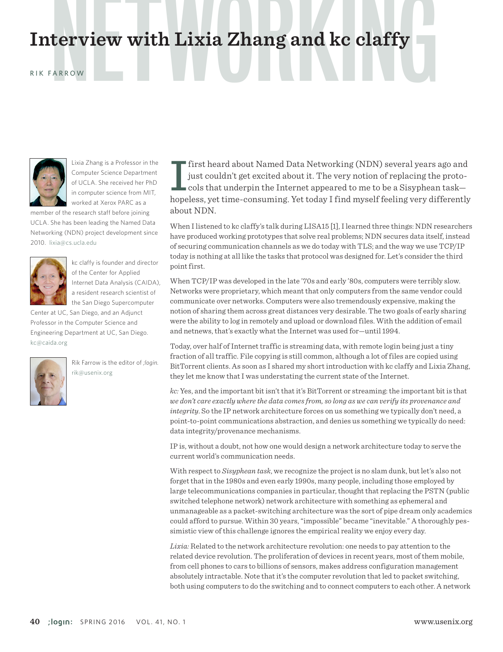# Interview with Lixia Zhang and kc claffy

#### RIK FARROW



Lixia Zhang is a Professor in the Computer Science Department of UCLA. She received her PhD in computer science from MIT, worked at Xerox PARC as a

member of the research staff before joining UCLA. She has been leading the Named Data Networking (NDN) project development since 2010. [lixia@cs.ucla.edu](mailto:lixia@cs.ucla.edu)



kc claffy is founder and director of the Center for Applied Internet Data Analysis (CAIDA), a resident research scientist of the San Diego Supercomputer

Center at UC, San Diego, and an Adjunct Professor in the Computer Science and Engineering Department at UC, San Diego. kc@caida.org



Rik Farrow is the editor of *;login.* rik@usenix.org

I first heard about Named Data Networking (NDN) several years ago and<br>just couldn't get excited about it. The very notion of replacing the proto-<br>cols that underpin the Internet appeared to me to be a Sisyphean task—<br>hopel just couldn't get excited about it. The very notion of replacing the protocols that underpin the Internet appeared to me to be a Sisyphean task hopeless, yet time-consuming. Yet today I find myself feeling very differently about NDN.

When I listened to kc claffy's talk during LISA15 [1], I learned three things: NDN researchers have produced working prototypes that solve real problems; NDN secures data itself, instead of securing communication channels as we do today with TLS; and the way we use TCP/IP today is nothing at all like the tasks that protocol was designed for. Let's consider the third point first.

When TCP/IP was developed in the late '70s and early '80s, computers were terribly slow. Networks were proprietary, which meant that only computers from the same vendor could communicate over networks. Computers were also tremendously expensive, making the notion of sharing them across great distances very desirable. The two goals of early sharing were the ability to log in remotely and upload or download files. With the addition of email and netnews, that's exactly what the Internet was used for—until 1994.

Today, over half of Internet traffic is streaming data, with remote login being just a tiny fraction of all traffic. File copying is still common, although a lot of files are copied using BitTorrent clients. As soon as I shared my short introduction with kc claffy and Lixia Zhang, they let me know that I was understating the current state of the Internet.

*kc:* Yes, and the important bit isn't that it's BitTorrent or streaming: the important bit is that *we don't care exactly where the data comes from, so long as we can verify its provenance and integrity*. So the IP network architecture forces on us something we typically don't need, a point-to-point communications abstraction, and denies us something we typically do need: data integrity/provenance mechanisms.

IP is, without a doubt, not how one would design a network architecture today to serve the current world's communication needs.

With respect to *Sisyphean task*, we recognize the project is no slam dunk, but let's also not forget that in the 1980s and even early 1990s, many people, including those employed by large telecommunications companies in particular, thought that replacing the PSTN (public switched telephone network) network architecture with something as ephemeral and unmanageable as a packet-switching architecture was the sort of pipe dream only academics could afford to pursue. Within 30 years, "impossible" became "inevitable." A thoroughly pessimistic view of this challenge ignores the empirical reality we enjoy every day.

*Lixia:* Related to the network architecture revolution: one needs to pay attention to the related device revolution. The proliferation of devices in recent years, most of them mobile, from cell phones to cars to billions of sensors, makes address configuration management absolutely intractable. Note that it's the computer revolution that led to packet switching, both using computers to do the switching and to connect computers to each other. A network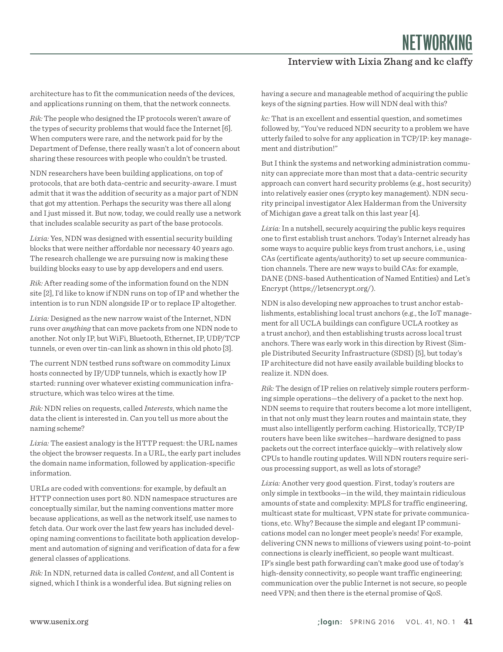NETWORKING

### Interview with Lixia Zhang and kc claffy

architecture has to fit the communication needs of the devices, and applications running on them, that the network connects.

*Rik:* The people who designed the IP protocols weren't aware of the types of security problems that would face the Internet [6]. When computers were rare, and the network paid for by the Department of Defense, there really wasn't a lot of concern about sharing these resources with people who couldn't be trusted.

NDN researchers have been building applications, on top of protocols, that are both data-centric and security-aware. I must admit that it was the addition of security as a major part of NDN that got my attention. Perhaps the security was there all along and I just missed it. But now, today, we could really use a network that includes scalable security as part of the base protocols.

*Lixia:* Yes, NDN was designed with essential security building blocks that were neither affordable nor necessary 40 years ago. The research challenge we are pursuing now is making these building blocks easy to use by app developers and end users.

*Rik:* After reading some of the information found on the NDN site [2], I'd like to know if NDN runs on top of IP and whether the intention is to run NDN alongside IP or to replace IP altogether.

*Lixia:* Designed as the new narrow waist of the Internet, NDN runs over *anything* that can move packets from one NDN node to another. Not only IP, but WiFi, Bluetooth, Ethernet, IP, UDP/TCP tunnels, or even over tin-can link as shown in this old photo [3].

The current NDN testbed runs software on commodity Linux hosts connected by IP/UDP tunnels, which is exactly how IP started: running over whatever existing communication infrastructure, which was telco wires at the time.

*Rik:* NDN relies on requests, called *Interests*, which name the data the client is interested in. Can you tell us more about the naming scheme?

*Lixia:* The easiest analogy is the HTTP request: the URL names the object the browser requests. In a URL, the early part includes the domain name information, followed by application-specific information.

URLs are coded with conventions: for example, by default an HTTP connection uses port 80. NDN namespace structures are conceptually similar, but the naming conventions matter more because applications, as well as the network itself, use names to fetch data. Our work over the last few years has included developing naming conventions to facilitate both application development and automation of signing and verification of data for a few general classes of applications.

*Rik:* In NDN, returned data is called *Content*, and all Content is signed, which I think is a wonderful idea. But signing relies on

having a secure and manageable method of acquiring the public keys of the signing parties. How will NDN deal with this?

*kc:* That is an excellent and essential question, and sometimes followed by, "You've reduced NDN security to a problem we have utterly failed to solve for any application in TCP/IP: key management and distribution!"

But I think the systems and networking administration community can appreciate more than most that a data-centric security approach can convert hard security problems (e.g., host security) into relatively easier ones (crypto key management). NDN security principal investigator Alex Halderman from the University of Michigan gave a great talk on this last year [4].

*Lixia:* In a nutshell, securely acquiring the public keys requires one to first establish trust anchors. Today's Internet already has some ways to acquire public keys from trust anchors, i.e., using CAs (certificate agents/authority) to set up secure communication channels. There are new ways to build CAs: for example, DANE (DNS-based Authentication of Named Entities) and Let's Encrypt (https://letsencrypt.org/).

NDN is also developing new approaches to trust anchor establishments, establishing local trust anchors (e.g., the IoT management for all UCLA buildings can configure UCLA rootkey as a trust anchor), and then establishing trusts across local trust anchors. There was early work in this direction by Rivest (Simple Distributed Security Infrastructure (SDSI) [5], but today's IP architecture did not have easily available building blocks to realize it. NDN does.

*Rik:* The design of IP relies on relatively simple routers performing simple operations—the delivery of a packet to the next hop. NDN seems to require that routers become a lot more intelligent, in that not only must they learn routes and maintain state, they must also intelligently perform caching. Historically, TCP/IP routers have been like switches—hardware designed to pass packets out the correct interface quickly—with relatively slow CPUs to handle routing updates. Will NDN routers require serious processing support, as well as lots of storage?

*Lixia:* Another very good question. First, today's routers are only simple in textbooks—in the wild, they maintain ridiculous amounts of state and complexity: MPLS for traffic engineering, multicast state for multicast, VPN state for private communications, etc. Why? Because the simple and elegant IP communications model can no longer meet people's needs! For example, delivering CNN news to millions of viewers using point-to-point connections is clearly inefficient, so people want multicast. IP's single best path forwarding can't make good use of today's high-density connectivity, so people want traffic engineering; communication over the public Internet is not secure, so people need VPN; and then there is the eternal promise of QoS.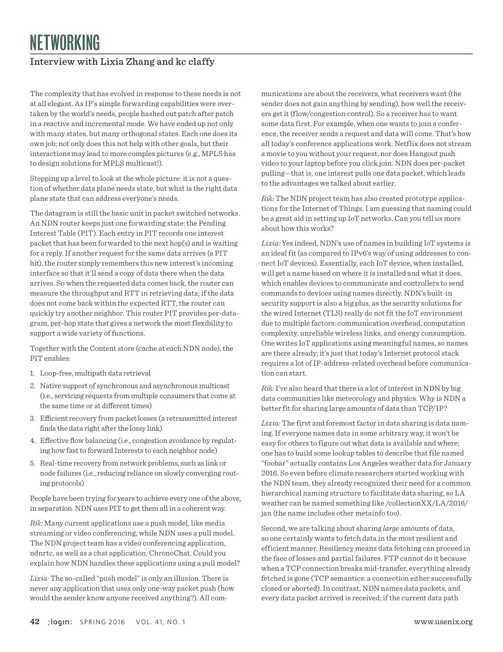## Interview with Lixia Zhang and kc claffy

The complexity that has evolved in response to these needs is not at all elegant. As IP's simple forwarding capabilities were overtaken by the world's needs, people hashed out patch after patch in a reactive and incremental mode. We have ended up not only with many states, but many orthogonal states. Each one does its own job; not only does this not help with other goals, but their interactions may lead to more complex pictures (e.g., MPLS has to design solutions for MPLS multicast!).

Stepping up a level to look at the whole picture: it is not a question of whether data plane needs state, but what is the right data plane state that can address everyone's needs.

The datagram is still the basic unit in packet switched networks. An NDN router keeps just one forwarding state: the Pending Interest Table (PIT). Each entry in PIT records one interest packet that has been forwarded to the next hop(s) and is waiting for a reply. If another request for the same data arrives (a PIT hit), the router simply remembers this new interest's incoming interface so that it'll send a copy of data there when the data arrives. So when the requested data comes back, the router can measure the throughput and RTT in retrieving data; if the data does not come back within the expected RTT, the router can quickly try another neighbor. This router PIT provides per-datagram, per-hop state that gives a network the most flexibility to support a wide variety of functions.

Together with the Content store (cache at each NDN node), the PIT enables:

- 1. Loop-free, multipath data retrieval
- 2. Native support of synchronous and asynchronous multicast (i.e., servicing requests from multiple consumers that come at the same time or at different times)
- 3. Efficient recovery from packet losses (a retransmitted interest finds the data right after the lossy link)
- 4. Effective flow balancing (i.e., congestion avoidance by regulating how fast to forward Interests to each neighbor node)
- 5. Real-time recovery from network problems, such as link or node failures (i.e., reducing reliance on slowly converging routing protocols)

People have been trying for years to achieve every one of the above, in separation. NDN uses PIT to get them all in a coherent way.

*Rik:* Many current applications use a push model, like media streaming or video conferencing, while NDN uses a pull model. The NDN project team has a video conferencing application, ndnrtc, as well as a chat application, ChronoChat. Could you explain how NDN handles these applications using a pull model?

*Lixia:* The so-called "push model" is only an illusion. There is never any application that uses only one-way packet push (how would the sender know anyone received anything?). All communications are about the receivers, what receivers want (the sender does not gain anything by sending), how well the receivers get it (flow/congestion control). So a receiver has to want some data first. For example, when one wants to join a conference, the receiver sends a request and data will come. That's how all today's conference applications work. Netflix does not stream a movie to you without your request, nor does Hangout push video to your laptop before you click join. NDN does per-packet pulling—that is, one interest pulls one data packet, which leads to the advantages we talked about earlier.

*Rik:* The NDN project team has also created prototype applications for the Internet of Things. I am guessing that naming could be a great aid in setting up IoT networks. Can you tell us more about how this works?

*Lixia:* Yes indeed, NDN's use of names in building IoT systems is an ideal fit (as compared to IPv6's way of using addresses to connect IoT devices). Essentially, each IoT device, when installed, will get a name based on where it is installed and what it does, which enables devices to communicate and controllers to send commands to devices using names directly. NDN's built-in security support is also a big plus, as the security solutions for the wired Internet (TLS) really do not fit the IoT environment due to multiple factors: communication overhead, computation complexity, unreliable wireless links, and energy consumption. One writes IoT applications using meaningful names, so names are there already; it's just that today's Internet protocol stack requires a lot of IP-address-related overhead before communication can start.

*Rik:* I've also heard that there is a lot of interest in NDN by big data communities like meteorology and physics. Why is NDN a better fit for sharing large amounts of data than TCP/IP?

*Lixia:* The first and foremost factor in data sharing is data naming. If everyone names data in some arbitrary way, it won't be easy for others to figure out what data is available and where; one has to build some lookup tables to describe that file named "foobar" actually contains Los Angeles weather data for January 2016. So even before climate researchers started working with the NDN team, they already recognized their need for a common hierarchical naming structure to facilitate data sharing, so LA weather can be named something like /collectionXX/LA/2016/ jan (the name includes other metainfo too).

Second, we are talking about sharing *large* amounts of data, so one certainly wants to fetch data in the most resilient and efficient manner. Resiliency means data fetching can proceed in the face of losses and partial failures. FTP cannot do it because when a TCP connection breaks mid-transfer, everything already fetched is gone (TCP semantics: a connection either successfully closed or aborted). In contrast, NDN names data packets, and every data packet arrived is received; if the current data path